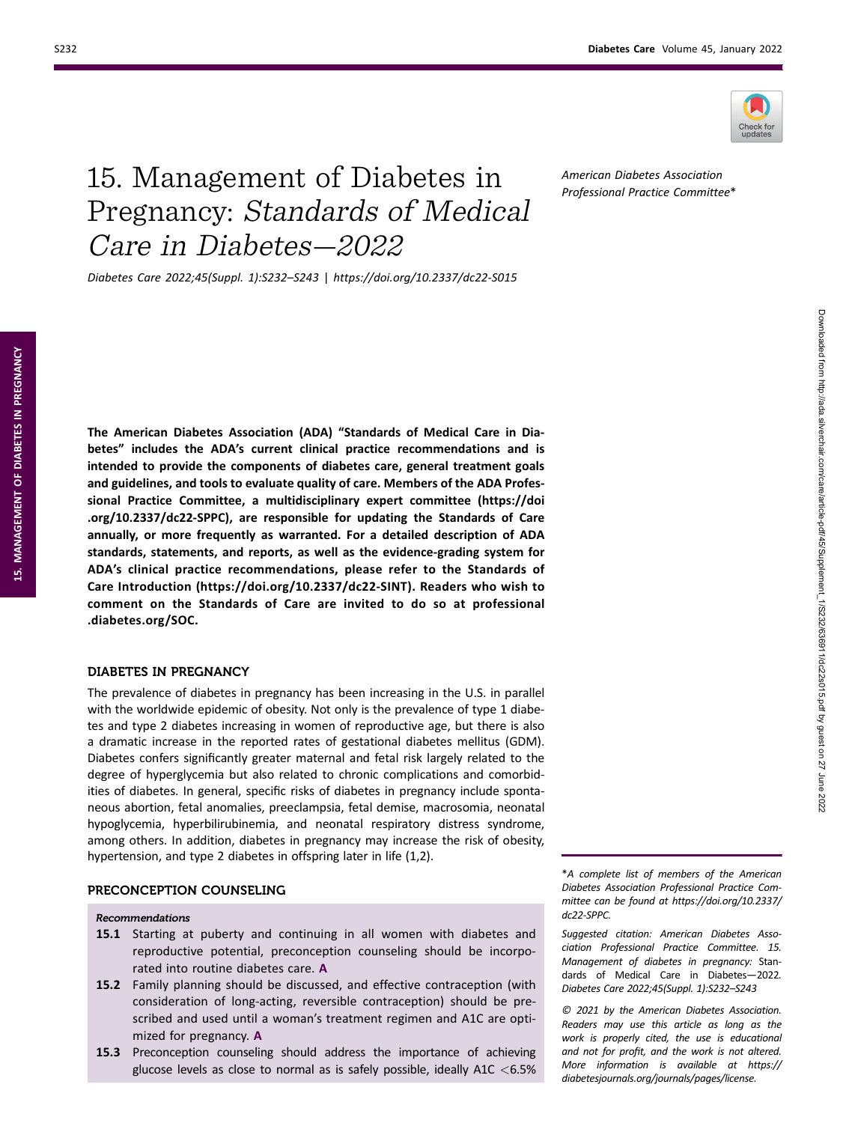

Downloaded from http://ada.silverchair.com/care/article-pdf/45/Supplement\_1/S232/636911/dc22s015.pdf by guest on 27 June 2022

Downloaded from http://ada.silverchair.com/care/article-pdf/45/Supplement\_1/S232/636911/dc22s6015.pdf by guest on 27 June 2022

# 15. Management of Diabetes in Pregnancy: Standards of Medical Care in Diabetes—2022

Diabetes Care 2022;45(Suppl. 1):S232–S243 | https://doi.org/10.2337/dc22-S015

The American Diabetes Association (ADA) "Standards of Medical Care in Diabetes" includes the ADA's current clinical practice recommendations and is intended to provide the components of diabetes care, general treatment goals and guidelines, and tools to evaluate quality of care. Members of the ADA Professional Practice Committee, a multidisciplinary expert committee [\(https://doi](https://doi.org/10.2337/dc22-SPPC) [.org/10.2337/dc22-SPPC\)](https://doi.org/10.2337/dc22-SPPC), are responsible for updating the Standards of Care annually, or more frequently as warranted. For a detailed description of ADA standards, statements, and reports, as well as the evidence-grading system for ADA's clinical practice recommendations, please refer to the Standards of Care Introduction (<https://doi.org/10.2337/dc22-SINT>). Readers who wish to comment on the Standards of Care are invited to do so at [professional](https://professional.diabetes.org/SOC) [.diabetes.org/SOC.](https://professional.diabetes.org/SOC)

# DIABETES IN PREGNANCY

The prevalence of diabetes in pregnancy has been increasing in the U.S. in parallel with the worldwide epidemic of obesity. Not only is the prevalence of type 1 diabetes and type 2 diabetes increasing in women of reproductive age, but there is also a dramatic increase in the reported rates of gestational diabetes mellitus (GDM). Diabetes confers significantly greater maternal and fetal risk largely related to the degree of hyperglycemia but also related to chronic complications and comorbidities of diabetes. In general, specific risks of diabetes in pregnancy include spontaneous abortion, fetal anomalies, preeclampsia, fetal demise, macrosomia, neonatal hypoglycemia, hyperbilirubinemia, and neonatal respiratory distress syndrome, among others. In addition, diabetes in pregnancy may increase the risk of obesity, hypertension, and type 2 diabetes in offspring later in life (1,2).

### PRECONCEPTION COUNSELING

#### Recommendations

- 15.1 Starting at puberty and continuing in all women with diabetes and reproductive potential, preconception counseling should be incorporated into routine diabetes care. A
- 15.2 Family planning should be discussed, and effective contraception (with consideration of long-acting, reversible contraception) should be prescribed and used until a woman's treatment regimen and A1C are optimized for pregnancy. A
- 15.3 Preconception counseling should address the importance of achieving glucose levels as close to normal as is safely possible, ideally A1C <6.5%

\*A complete list of members of the American Diabetes Association Professional Practice Committee can be found at [https://doi.org/10.2337/](https://doi.org/10.2337/dc22-SPPC) [dc22-SPPC](https://doi.org/10.2337/dc22-SPPC).

Suggested citation: American Diabetes Association Professional Practice Committee. 15. Management of diabetes in pregnancy: Standards of Medical Care in Diabetes—2022. Diabetes Care 2022;45(Suppl. 1):S232–S243

© 2021 by the American Diabetes Association. Readers may use this article as long as the work is properly cited, the use is educational and not for profit, and the work is not altered. More information is available at [https://](https://diabetesjournals.org/journals/pages/license) [diabetesjournals.org/journals/pages/license.](https://diabetesjournals.org/journals/pages/license)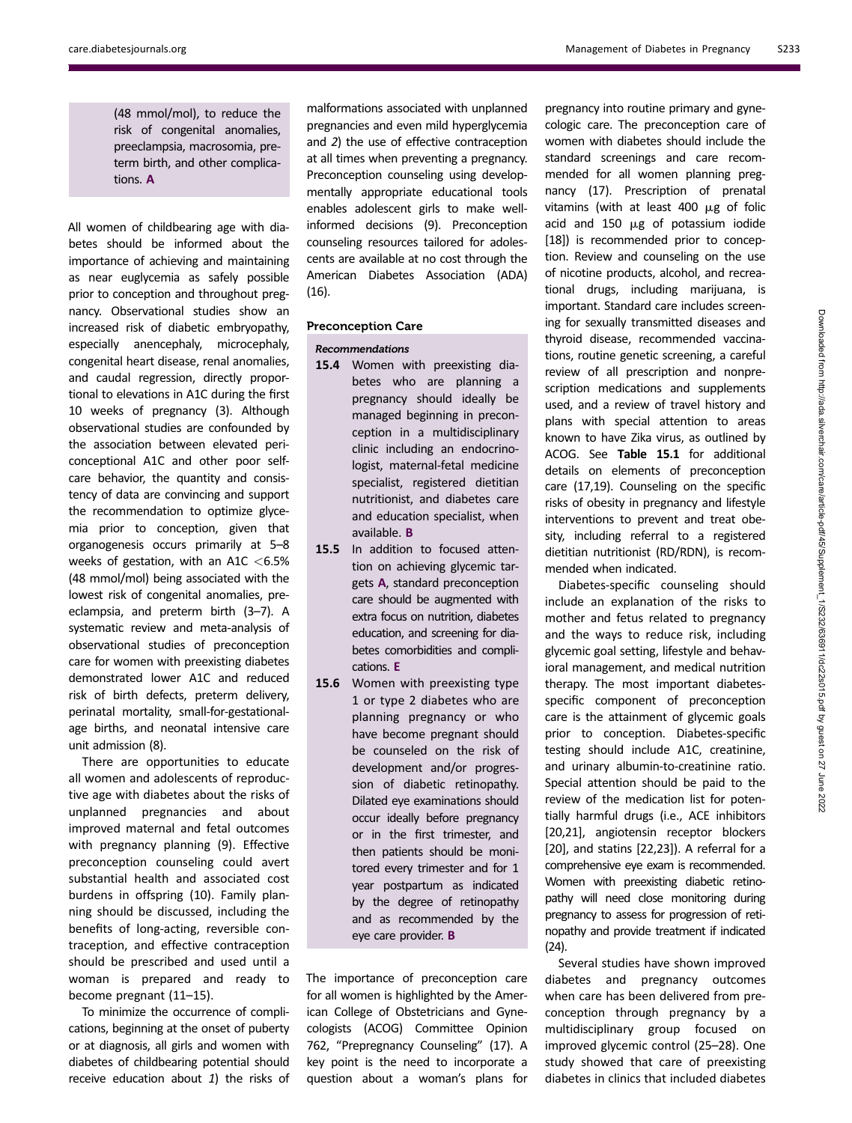(48 mmol/mol), to reduce the risk of congenital anomalies, preeclampsia, macrosomia, preterm birth, and other complications. A

All women of childbearing age with diabetes should be informed about the importance of achieving and maintaining as near euglycemia as safely possible prior to conception and throughout pregnancy. Observational studies show an increased risk of diabetic embryopathy, especially anencephaly, microcephaly, congenital heart disease, renal anomalies, and caudal regression, directly proportional to elevations in A1C during the first 10 weeks of pregnancy (3). Although observational studies are confounded by the association between elevated periconceptional A1C and other poor selfcare behavior, the quantity and consistency of data are convincing and support the recommendation to optimize glycemia prior to conception, given that organogenesis occurs primarily at 5–8 weeks of gestation, with an A1C  $<$  6.5% (48 mmol/mol) being associated with the lowest risk of congenital anomalies, preeclampsia, and preterm birth (3–7). A systematic review and meta-analysis of observational studies of preconception care for women with preexisting diabetes demonstrated lower A1C and reduced risk of birth defects, preterm delivery, perinatal mortality, small-for-gestationalage births, and neonatal intensive care unit admission (8).

There are opportunities to educate all women and adolescents of reproductive age with diabetes about the risks of unplanned pregnancies and about improved maternal and fetal outcomes with pregnancy planning (9). Effective preconception counseling could avert substantial health and associated cost burdens in offspring (10). Family planning should be discussed, including the benefits of long-acting, reversible contraception, and effective contraception should be prescribed and used until a woman is prepared and ready to become pregnant (11–15).

To minimize the occurrence of complications, beginning at the onset of puberty or at diagnosis, all girls and women with diabetes of childbearing potential should receive education about 1) the risks of malformations associated with unplanned pregnancies and even mild hyperglycemia and 2) the use of effective contraception at all times when preventing a pregnancy. Preconception counseling using developmentally appropriate educational tools enables adolescent girls to make wellinformed decisions (9). Preconception counseling resources tailored for adolescents are available at no cost through the American Diabetes Association (ADA) (16).

# Preconception Care

#### Recommendations

- 15.4 Women with preexisting diabetes who are planning a pregnancy should ideally be managed beginning in preconception in a multidisciplinary clinic including an endocrinologist, maternal-fetal medicine specialist, registered dietitian nutritionist, and diabetes care and education specialist, when available. B
- 15.5 In addition to focused attention on achieving glycemic targets A, standard preconception care should be augmented with extra focus on nutrition, diabetes education, and screening for diabetes comorbidities and complications. E
- 15.6 Women with preexisting type 1 or type 2 diabetes who are planning pregnancy or who have become pregnant should be counseled on the risk of development and/or progression of diabetic retinopathy. Dilated eye examinations should occur ideally before pregnancy or in the first trimester, and then patients should be monitored every trimester and for 1 year postpartum as indicated by the degree of retinopathy and as recommended by the eye care provider. B

The importance of preconception care for all women is highlighted by the American College of Obstetricians and Gynecologists (ACOG) Committee Opinion 762, "Prepregnancy Counseling" (17). A key point is the need to incorporate a question about a woman's plans for

pregnancy into routine primary and gynecologic care. The preconception care of women with diabetes should include the standard screenings and care recommended for all women planning pregnancy (17). Prescription of prenatal vitamins (with at least 400  $\mu$ g of folic acid and  $150 \mu g$  of potassium iodide [18]) is recommended prior to conception. Review and counseling on the use of nicotine products, alcohol, and recreational drugs, including marijuana, is important. Standard care includes screening for sexually transmitted diseases and thyroid disease, recommended vaccinations, routine genetic screening, a careful review of all prescription and nonprescription medications and supplements used, and a review of travel history and plans with special attention to areas known to have Zika virus, as outlined by ACOG. See Table 15.1 for additional details on elements of preconception care (17,19). Counseling on the specific risks of obesity in pregnancy and lifestyle interventions to prevent and treat obesity, including referral to a registered dietitian nutritionist (RD/RDN), is recommended when indicated.

Diabetes-specific counseling should include an explanation of the risks to mother and fetus related to pregnancy and the ways to reduce risk, including glycemic goal setting, lifestyle and behavioral management, and medical nutrition therapy. The most important diabetesspecific component of preconception care is the attainment of glycemic goals prior to conception. Diabetes-specific testing should include A1C, creatinine, and urinary albumin-to-creatinine ratio. Special attention should be paid to the review of the medication list for potentially harmful drugs (i.e., ACE inhibitors [20,21], angiotensin receptor blockers [20], and statins [22,23]). A referral for a comprehensive eye exam is recommended. Women with preexisting diabetic retinopathy will need close monitoring during pregnancy to assess for progression of retinopathy and provide treatment if indicated (24).

Several studies have shown improved diabetes and pregnancy outcomes when care has been delivered from preconception through pregnancy by a multidisciplinary group focused on improved glycemic control (25–28). One study showed that care of preexisting diabetes in clinics that included diabetes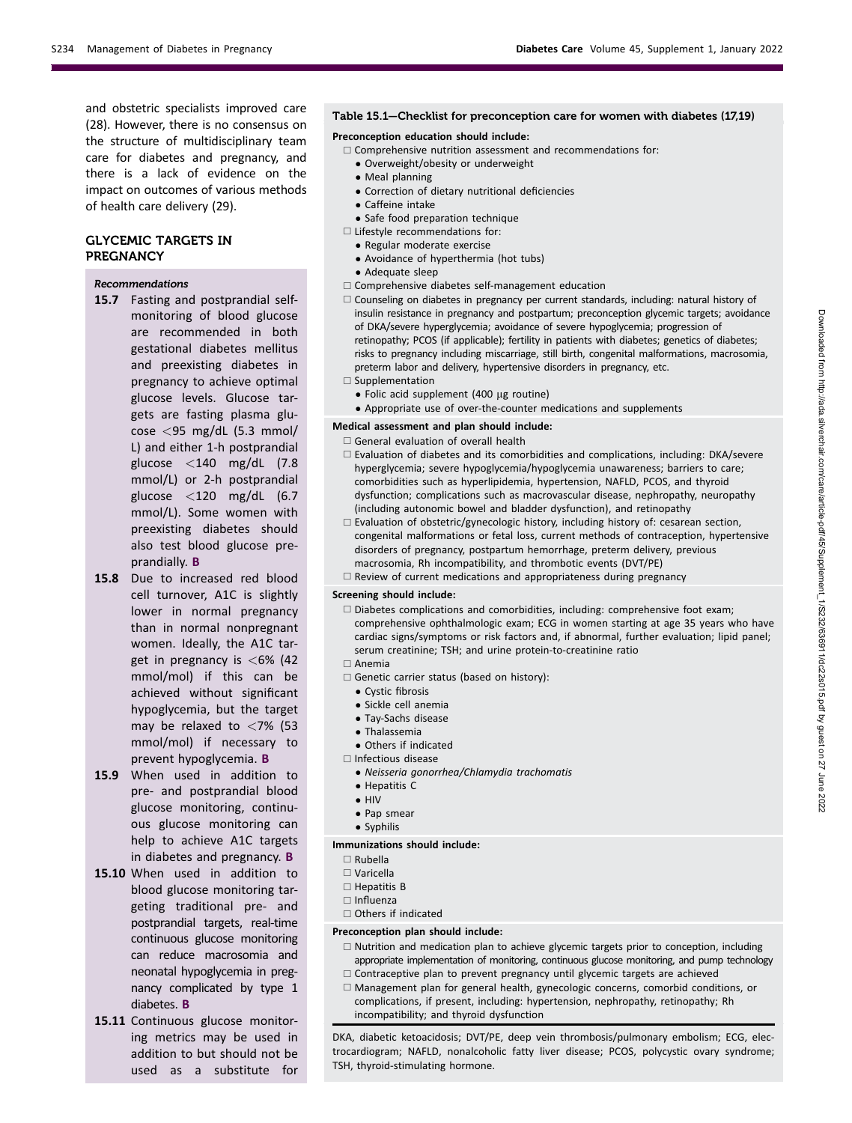and obstetric specialists improved care (28). However, there is no consensus on the structure of multidisciplinary team care for diabetes and pregnancy, and there is a lack of evidence on the impact on outcomes of various methods of health care delivery (29).

# GLYCEMIC TARGETS IN **PREGNANCY**

#### Recommendations

- 15.7 Fasting and postprandial selfmonitoring of blood glucose are recommended in both gestational diabetes mellitus and preexisting diabetes in pregnancy to achieve optimal glucose levels. Glucose targets are fasting plasma glucose <95 mg/dL (5.3 mmol/ L) and either 1-h postprandial glucose  $\langle 140 \text{ mg/dL} \rangle$  (7.8) mmol/L) or 2-h postprandial glucose <120 mg/dL (6.7 mmol/L). Some women with preexisting diabetes should also test blood glucose preprandially. B
- 15.8 Due to increased red blood cell turnover, A1C is slightly lower in normal pregnancy than in normal nonpregnant women. Ideally, the A1C target in pregnancy is <6% (42 mmol/mol) if this can be achieved without significant hypoglycemia, but the target may be relaxed to  $<$ 7% (53 mmol/mol) if necessary to prevent hypoglycemia. B
- 15.9 When used in addition to pre- and postprandial blood glucose monitoring, continuous glucose monitoring can help to achieve A1C targets in diabetes and pregnancy. B
- 15.10 When used in addition to blood glucose monitoring targeting traditional pre- and postprandial targets, real-time continuous glucose monitoring can reduce macrosomia and neonatal hypoglycemia in pregnancy complicated by type 1 diabetes. B
- 15.11 Continuous glucose monitoring metrics may be used in addition to but should not be used as a substitute for

# Table 15.1—Checklist for preconception care for women with diabetes (17,19)

Preconception education should include:

- $\Box$  Comprehensive nutrition assessment and recommendations for:
	- Overweight/obesity or underweight
	- Meal planning
	- Correction of dietary nutritional deficiencies
	- Caffeine intake
	- Safe food preparation technique
- $\Box$  Lifestyle recommendations for:
- Regular moderate exercise
- Avoidance of hyperthermia (hot tubs)
- Adequate sleep
- $\Box$  Comprehensive diabetes self-management education
- $\Box$  Counseling on diabetes in pregnancy per current standards, including: natural history of insulin resistance in pregnancy and postpartum; preconception glycemic targets; avoidance of DKA/severe hyperglycemia; avoidance of severe hypoglycemia; progression of retinopathy; PCOS (if applicable); fertility in patients with diabetes; genetics of diabetes; risks to pregnancy including miscarriage, still birth, congenital malformations, macrosomia, preterm labor and delivery, hypertensive disorders in pregnancy, etc.
- $\square$  Supplementation
	- Folic acid supplement (400 µg routine)
	- Appropriate use of over-the-counter medications and supplements

#### Medical assessment and plan should include:

- $\Box$  General evaluation of overall health
- $\square$  Evaluation of diabetes and its comorbidities and complications, including: DKA/severe hyperglycemia; severe hypoglycemia/hypoglycemia unawareness; barriers to care; comorbidities such as hyperlipidemia, hypertension, NAFLD, PCOS, and thyroid dysfunction; complications such as macrovascular disease, nephropathy, neuropathy (including autonomic bowel and bladder dysfunction), and retinopathy
- $\Box$  Evaluation of obstetric/gynecologic history, including history of: cesarean section, congenital malformations or fetal loss, current methods of contraception, hypertensive disorders of pregnancy, postpartum hemorrhage, preterm delivery, previous macrosomia, Rh incompatibility, and thrombotic events (DVT/PE)
- $\Box$  Review of current medications and appropriateness during pregnancy

#### Screening should include:

- $\Box$  Diabetes complications and comorbidities, including: comprehensive foot exam; comprehensive ophthalmologic exam; ECG in women starting at age 35 years who have cardiac signs/symptoms or risk factors and, if abnormal, further evaluation; lipid panel; serum creatinine; TSH; and urine protein-to-creatinine ratio
- $\Box$  Anemia
- $\Box$  Genetic carrier status (based on history):
	- Cystic fibrosis
	- Sickle cell anemia
	- Tay-Sachs disease
	- **Thalassemia**
	- Others if indicated
- $\square$  Infectious disease
	- Neisseria gonorrhea/Chlamydia trachomatis
	- Hepatitis C
- HIV
- Pap smear • Syphilis

# Immunizations should include:

- $\square$  Rubella
- $\square$  Varicella
- $\Box$  Hepatitis B
- $\Box$  Influenza
- $\Box$  Others if indicated

#### Preconception plan should include:

- $\Box$  Nutrition and medication plan to achieve glycemic targets prior to conception, including appropriate implementation of monitoring, continuous glucose monitoring, and pump technology  $\Box$  Contraceptive plan to prevent pregnancy until glycemic targets are achieved
- $\Box$  Management plan for general health, gynecologic concerns, comorbid conditions, or complications, if present, including: hypertension, nephropathy, retinopathy; Rh incompatibility; and thyroid dysfunction

DKA, diabetic ketoacidosis; DVT/PE, deep vein thrombosis/pulmonary embolism; ECG, electrocardiogram; NAFLD, nonalcoholic fatty liver disease; PCOS, polycystic ovary syndrome; TSH, thyroid-stimulating hormone.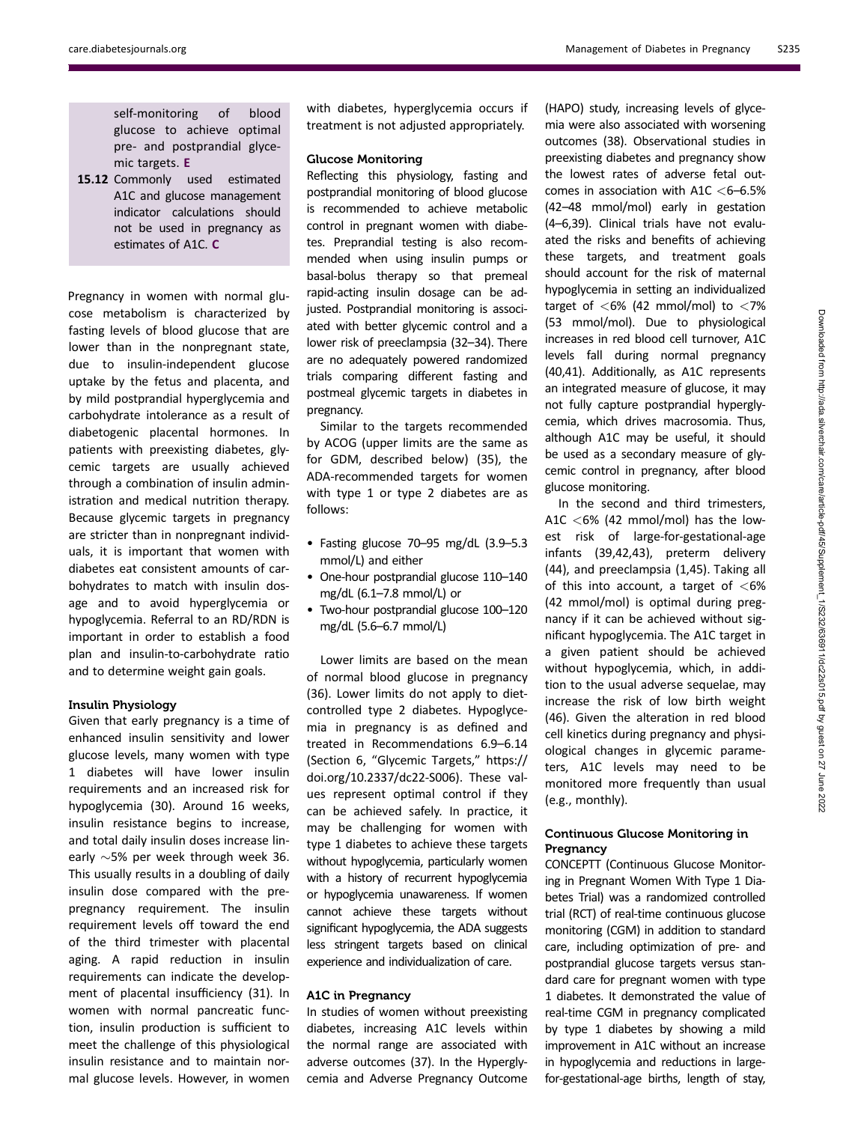self-monitoring of blood glucose to achieve optimal pre- and postprandial glycemic targets. E

15.12 Commonly used estimated A1C and glucose management indicator calculations should not be used in pregnancy as estimates of A1C. C

Pregnancy in women with normal glucose metabolism is characterized by fasting levels of blood glucose that are lower than in the nonpregnant state, due to insulin-independent glucose uptake by the fetus and placenta, and by mild postprandial hyperglycemia and carbohydrate intolerance as a result of diabetogenic placental hormones. In patients with preexisting diabetes, glycemic targets are usually achieved through a combination of insulin administration and medical nutrition therapy. Because glycemic targets in pregnancy are stricter than in nonpregnant individuals, it is important that women with diabetes eat consistent amounts of carbohydrates to match with insulin dosage and to avoid hyperglycemia or hypoglycemia. Referral to an RD/RDN is important in order to establish a food plan and insulin-to-carbohydrate ratio and to determine weight gain goals.

#### Insulin Physiology

Given that early pregnancy is a time of enhanced insulin sensitivity and lower glucose levels, many women with type 1 diabetes will have lower insulin requirements and an increased risk for hypoglycemia (30). Around 16 weeks, insulin resistance begins to increase, and total daily insulin doses increase linearly  $\sim$ 5% per week through week 36. This usually results in a doubling of daily insulin dose compared with the prepregnancy requirement. The insulin requirement levels off toward the end of the third trimester with placental aging. A rapid reduction in insulin requirements can indicate the development of placental insufficiency (31). In women with normal pancreatic function, insulin production is sufficient to meet the challenge of this physiological insulin resistance and to maintain normal glucose levels. However, in women

with diabetes, hyperglycemia occurs if treatment is not adjusted appropriately.

#### Glucose Monitoring

Reflecting this physiology, fasting and postprandial monitoring of blood glucose is recommended to achieve metabolic control in pregnant women with diabetes. Preprandial testing is also recommended when using insulin pumps or basal-bolus therapy so that premeal rapid-acting insulin dosage can be adjusted. Postprandial monitoring is associated with better glycemic control and a lower risk of preeclampsia (32–34). There are no adequately powered randomized trials comparing different fasting and postmeal glycemic targets in diabetes in pregnancy.

Similar to the targets recommended by ACOG (upper limits are the same as for GDM, described below) (35), the ADA-recommended targets for women with type 1 or type 2 diabetes are as follows:

- Fasting glucose 70–95 mg/dL (3.9–5.3 mmol/L) and either
- One-hour postprandial glucose 110–140 mg/dL (6.1–7.8 mmol/L) or
- Two-hour postprandial glucose 100–120 mg/dL (5.6–6.7 mmol/L)

Lower limits are based on the mean of normal blood glucose in pregnancy (36). Lower limits do not apply to dietcontrolled type 2 diabetes. Hypoglycemia in pregnancy is as defined and treated in Recommendations 6.9–6.14 (Section 6, "Glycemic Targets," [https://](https://doi.org/10.2337/dc22-S006) [doi.org/10.2337/dc22-S006\)](https://doi.org/10.2337/dc22-S006). These values represent optimal control if they can be achieved safely. In practice, it may be challenging for women with type 1 diabetes to achieve these targets without hypoglycemia, particularly women with a history of recurrent hypoglycemia or hypoglycemia unawareness. If women cannot achieve these targets without significant hypoglycemia, the ADA suggests less stringent targets based on clinical experience and individualization of care.

#### A1C in Pregnancy

In studies of women without preexisting diabetes, increasing A1C levels within the normal range are associated with adverse outcomes (37). In the Hyperglycemia and Adverse Pregnancy Outcome (HAPO) study, increasing levels of glycemia were also associated with worsening outcomes (38). Observational studies in preexisting diabetes and pregnancy show the lowest rates of adverse fetal outcomes in association with A1C  $<$  6–6.5% (42–48 mmol/mol) early in gestation (4–6,39). Clinical trials have not evaluated the risks and benefits of achieving these targets, and treatment goals should account for the risk of maternal hypoglycemia in setting an individualized target of  $\langle 6\% \rangle$  (42 mmol/mol) to  $\langle 7\% \rangle$ (53 mmol/mol). Due to physiological increases in red blood cell turnover, A1C levels fall during normal pregnancy (40,41). Additionally, as A1C represents an integrated measure of glucose, it may not fully capture postprandial hyperglycemia, which drives macrosomia. Thus, although A1C may be useful, it should be used as a secondary measure of glycemic control in pregnancy, after blood glucose monitoring.

In the second and third trimesters, A1C  $<$  6% (42 mmol/mol) has the lowest risk of large-for-gestational-age infants (39,42,43), preterm delivery (44), and preeclampsia (1,45). Taking all of this into account, a target of  $<$ 6% (42 mmol/mol) is optimal during pregnancy if it can be achieved without significant hypoglycemia. The A1C target in a given patient should be achieved without hypoglycemia, which, in addition to the usual adverse sequelae, may increase the risk of low birth weight (46). Given the alteration in red blood cell kinetics during pregnancy and physiological changes in glycemic parameters, A1C levels may need to be monitored more frequently than usual (e.g., monthly).

# Continuous Glucose Monitoring in Pregnancy

CONCEPTT (Continuous Glucose Monitoring in Pregnant Women With Type 1 Diabetes Trial) was a randomized controlled trial (RCT) of real-time continuous glucose monitoring (CGM) in addition to standard care, including optimization of pre- and postprandial glucose targets versus standard care for pregnant women with type 1 diabetes. It demonstrated the value of real-time CGM in pregnancy complicated by type 1 diabetes by showing a mild improvement in A1C without an increase in hypoglycemia and reductions in largefor-gestational-age births, length of stay,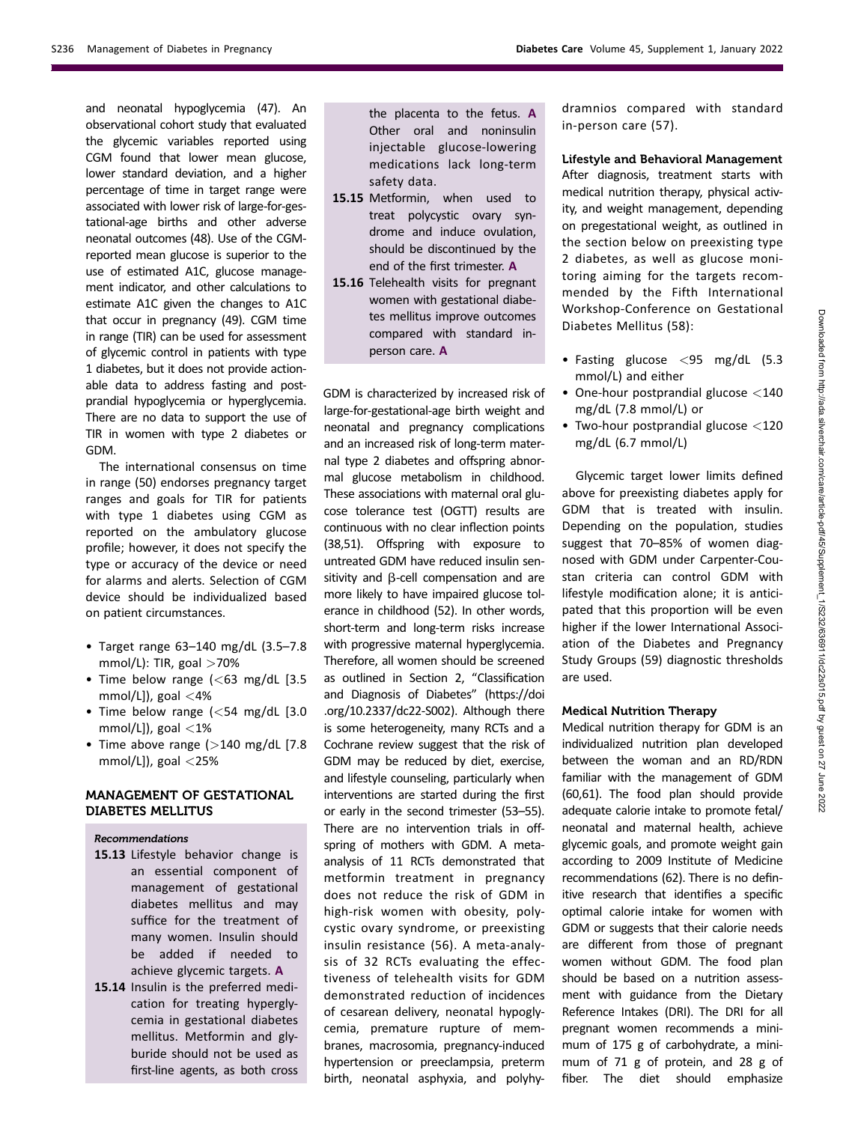and neonatal hypoglycemia (47). An observational cohort study that evaluated the glycemic variables reported using CGM found that lower mean glucose, lower standard deviation, and a higher percentage of time in target range were associated with lower risk of large-for-gestational-age births and other adverse neonatal outcomes (48). Use of the CGMreported mean glucose is superior to the use of estimated A1C, glucose management indicator, and other calculations to estimate A1C given the changes to A1C that occur in pregnancy (49). CGM time in range (TIR) can be used for assessment of glycemic control in patients with type 1 diabetes, but it does not provide actionable data to address fasting and postprandial hypoglycemia or hyperglycemia. There are no data to support the use of TIR in women with type 2 diabetes or GDM.

The international consensus on time in range (50) endorses pregnancy target ranges and goals for TIR for patients with type 1 diabetes using CGM as reported on the ambulatory glucose profile; however, it does not specify the type or accuracy of the device or need for alarms and alerts. Selection of CGM device should be individualized based on patient circumstances.

- Target range 63–140 mg/dL (3.5–7.8 mmol/L): TIR, goal  $>70\%$
- Time below range  $\langle$  <63 mg/dL [3.5] mmol/L]), goal  $<$ 4%
- Time below range (<54 mg/dL [3.0 mmol/L]), goal  $<$ 1%
- Time above range  $(>140 \text{ mg/dL}$  [7.8] mmol/L]), goal  $<$ 25%

# MANAGEMENT OF GESTATIONAL DIABETES MELLITUS

#### Recommendations

- 15.13 Lifestyle behavior change is an essential component of management of gestational diabetes mellitus and may suffice for the treatment of many women. Insulin should be added if needed to achieve glycemic targets. A
- 15.14 Insulin is the preferred medication for treating hyperglycemia in gestational diabetes mellitus. Metformin and glyburide should not be used as first-line agents, as both cross

the placenta to the fetus. A Other oral and noninsulin injectable glucose-lowering medications lack long-term safety data.

- 15.15 Metformin, when used to treat polycystic ovary syndrome and induce ovulation, should be discontinued by the end of the first trimester. A
- 15.16 Telehealth visits for pregnant women with gestational diabetes mellitus improve outcomes compared with standard inperson care. A

GDM is characterized by increased risk of large-for-gestational-age birth weight and neonatal and pregnancy complications and an increased risk of long-term maternal type 2 diabetes and offspring abnormal glucose metabolism in childhood. These associations with maternal oral glucose tolerance test (OGTT) results are continuous with no clear inflection points (38,51). Offspring with exposure to untreated GDM have reduced insulin sensitivity and  $\beta$ -cell compensation and are more likely to have impaired glucose tolerance in childhood (52). In other words, short-term and long-term risks increase with progressive maternal hyperglycemia. Therefore, all women should be screened as outlined in Section 2, "Classification and Diagnosis of Diabetes" ([https://doi](https://doi.org/10.2337/dc22-S002) [.org/10.2337/dc22-S002](https://doi.org/10.2337/dc22-S002)). Although there is some heterogeneity, many RCTs and a Cochrane review suggest that the risk of GDM may be reduced by diet, exercise, and lifestyle counseling, particularly when interventions are started during the first or early in the second trimester (53–55). There are no intervention trials in offspring of mothers with GDM. A metaanalysis of 11 RCTs demonstrated that metformin treatment in pregnancy does not reduce the risk of GDM in high-risk women with obesity, polycystic ovary syndrome, or preexisting insulin resistance (56). A meta-analysis of 32 RCTs evaluating the effectiveness of telehealth visits for GDM demonstrated reduction of incidences of cesarean delivery, neonatal hypoglycemia, premature rupture of membranes, macrosomia, pregnancy-induced hypertension or preeclampsia, preterm birth, neonatal asphyxia, and polyhy-

dramnios compared with standard in-person care (57).

Lifestyle and Behavioral Management After diagnosis, treatment starts with medical nutrition therapy, physical activity, and weight management, depending on pregestational weight, as outlined in the section below on preexisting type 2 diabetes, as well as glucose monitoring aiming for the targets recommended by the Fifth International Workshop-Conference on Gestational Diabetes Mellitus (58):

- Fasting glucose <95 mg/dL (5.3 mmol/L) and either
- One-hour postprandial glucose <140 mg/dL (7.8 mmol/L) or
- Two-hour postprandial glucose <120 mg/dL (6.7 mmol/L)

Glycemic target lower limits defined above for preexisting diabetes apply for GDM that is treated with insulin. Depending on the population, studies suggest that 70–85% of women diagnosed with GDM under Carpenter-Coustan criteria can control GDM with lifestyle modification alone; it is anticipated that this proportion will be even higher if the lower International Association of the Diabetes and Pregnancy Study Groups (59) diagnostic thresholds are used.

#### Medical Nutrition Therapy

Medical nutrition therapy for GDM is an individualized nutrition plan developed between the woman and an RD/RDN familiar with the management of GDM (60,61). The food plan should provide adequate calorie intake to promote fetal/ neonatal and maternal health, achieve glycemic goals, and promote weight gain according to 2009 Institute of Medicine recommendations (62). There is no definitive research that identifies a specific optimal calorie intake for women with GDM or suggests that their calorie needs are different from those of pregnant women without GDM. The food plan should be based on a nutrition assessment with guidance from the Dietary Reference Intakes (DRI). The DRI for all pregnant women recommends a minimum of 175 g of carbohydrate, a minimum of 71 g of protein, and 28 g of fiber. The diet should emphasize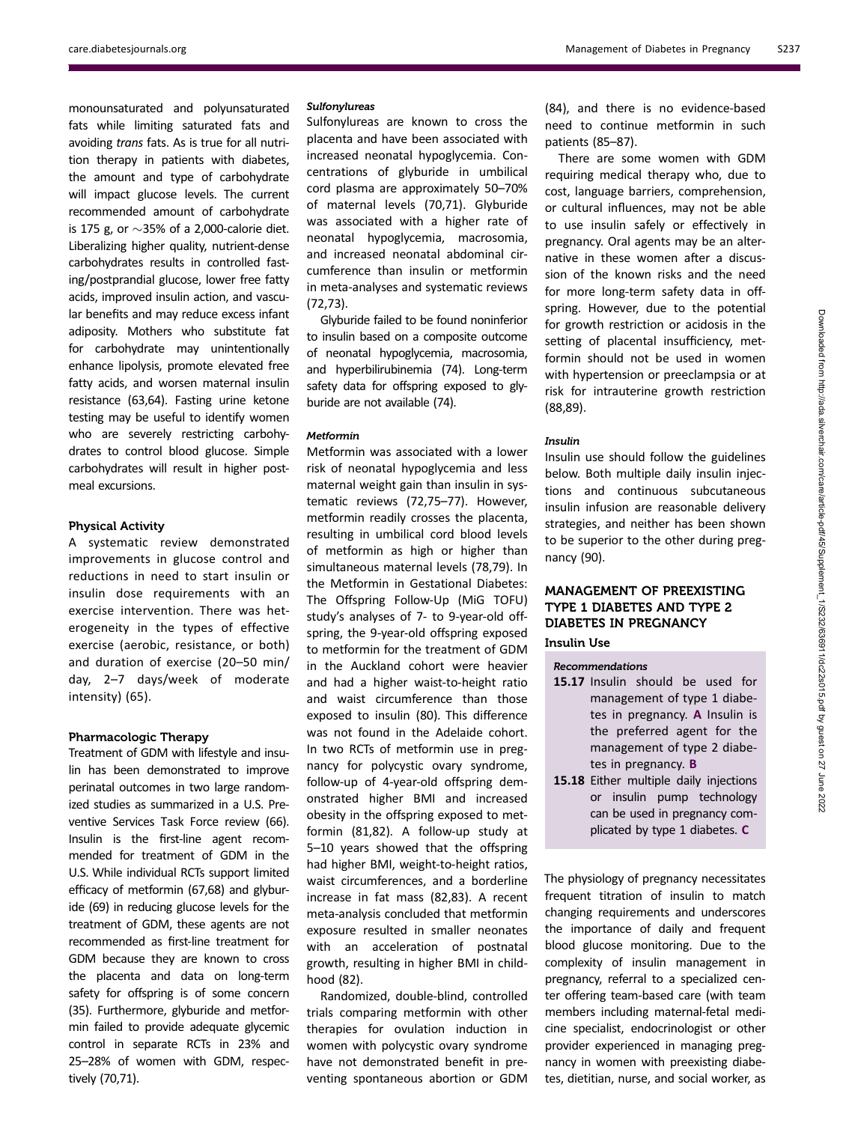monounsaturated and polyunsaturated fats while limiting saturated fats and avoiding trans fats. As is true for all nutrition therapy in patients with diabetes, the amount and type of carbohydrate will impact glucose levels. The current recommended amount of carbohydrate is 175 g, or  $\sim$ 35% of a 2,000-calorie diet. Liberalizing higher quality, nutrient-dense carbohydrates results in controlled fasting/postprandial glucose, lower free fatty acids, improved insulin action, and vascular benefits and may reduce excess infant adiposity. Mothers who substitute fat for carbohydrate may unintentionally enhance lipolysis, promote elevated free fatty acids, and worsen maternal insulin resistance (63,64). Fasting urine ketone testing may be useful to identify women who are severely restricting carbohydrates to control blood glucose. Simple carbohydrates will result in higher postmeal excursions.

#### Physical Activity

A systematic review demonstrated improvements in glucose control and reductions in need to start insulin or insulin dose requirements with an exercise intervention. There was heterogeneity in the types of effective exercise (aerobic, resistance, or both) and duration of exercise (20–50 min/ day, 2–7 days/week of moderate intensity) (65).

#### Pharmacologic Therapy

Treatment of GDM with lifestyle and insulin has been demonstrated to improve perinatal outcomes in two large randomized studies as summarized in a U.S. Preventive Services Task Force review (66). Insulin is the first-line agent recommended for treatment of GDM in the U.S. While individual RCTs support limited efficacy of metformin (67,68) and glyburide (69) in reducing glucose levels for the treatment of GDM, these agents are not recommended as first-line treatment for GDM because they are known to cross the placenta and data on long-term safety for offspring is of some concern (35). Furthermore, glyburide and metformin failed to provide adequate glycemic control in separate RCTs in 23% and 25–28% of women with GDM, respectively (70,71).

# **Sulfonylureas**

Sulfonylureas are known to cross the placenta and have been associated with increased neonatal hypoglycemia. Concentrations of glyburide in umbilical cord plasma are approximately 50–70% of maternal levels (70,71). Glyburide was associated with a higher rate of neonatal hypoglycemia, macrosomia, and increased neonatal abdominal circumference than insulin or metformin in meta-analyses and systematic reviews (72,73).

Glyburide failed to be found noninferior to insulin based on a composite outcome of neonatal hypoglycemia, macrosomia, and hyperbilirubinemia (74). Long-term safety data for offspring exposed to glyburide are not available (74).

#### Metformin

Metformin was associated with a lower risk of neonatal hypoglycemia and less maternal weight gain than insulin in systematic reviews (72,75–77). However, metformin readily crosses the placenta, resulting in umbilical cord blood levels of metformin as high or higher than simultaneous maternal levels (78,79). In the Metformin in Gestational Diabetes: The Offspring Follow-Up (MiG TOFU) study's analyses of 7- to 9-year-old offspring, the 9-year-old offspring exposed to metformin for the treatment of GDM in the Auckland cohort were heavier and had a higher waist-to-height ratio and waist circumference than those exposed to insulin (80). This difference was not found in the Adelaide cohort. In two RCTs of metformin use in pregnancy for polycystic ovary syndrome, follow-up of 4-year-old offspring demonstrated higher BMI and increased obesity in the offspring exposed to metformin (81,82). A follow-up study at 5–10 years showed that the offspring had higher BMI, weight-to-height ratios, waist circumferences, and a borderline increase in fat mass (82,83). A recent meta-analysis concluded that metformin exposure resulted in smaller neonates with an acceleration of postnatal growth, resulting in higher BMI in childhood (82).

Randomized, double-blind, controlled trials comparing metformin with other therapies for ovulation induction in women with polycystic ovary syndrome have not demonstrated benefit in preventing spontaneous abortion or GDM

(84), and there is no evidence-based need to continue metformin in such patients (85–87).

There are some women with GDM requiring medical therapy who, due to cost, language barriers, comprehension, or cultural influences, may not be able to use insulin safely or effectively in pregnancy. Oral agents may be an alternative in these women after a discussion of the known risks and the need for more long-term safety data in offspring. However, due to the potential for growth restriction or acidosis in the setting of placental insufficiency, metformin should not be used in women with hypertension or preeclampsia or at risk for intrauterine growth restriction (88,89).

#### Insulin

Insulin use should follow the guidelines below. Both multiple daily insulin injections and continuous subcutaneous insulin infusion are reasonable delivery strategies, and neither has been shown to be superior to the other during pregnancy (90).

# MANAGEMENT OF PREEXISTING TYPE 1 DIABETES AND TYPE 2 DIABETES IN PREGNANCY

# Insulin Use

#### Recommendations

- 15.17 Insulin should be used for management of type 1 diabetes in pregnancy. A Insulin is the preferred agent for the management of type 2 diabetes in pregnancy. B
- 15.18 Either multiple daily injections or insulin pump technology can be used in pregnancy complicated by type 1 diabetes. C

The physiology of pregnancy necessitates frequent titration of insulin to match changing requirements and underscores the importance of daily and frequent blood glucose monitoring. Due to the complexity of insulin management in pregnancy, referral to a specialized center offering team-based care (with team members including maternal-fetal medicine specialist, endocrinologist or other provider experienced in managing pregnancy in women with preexisting diabetes, dietitian, nurse, and social worker, as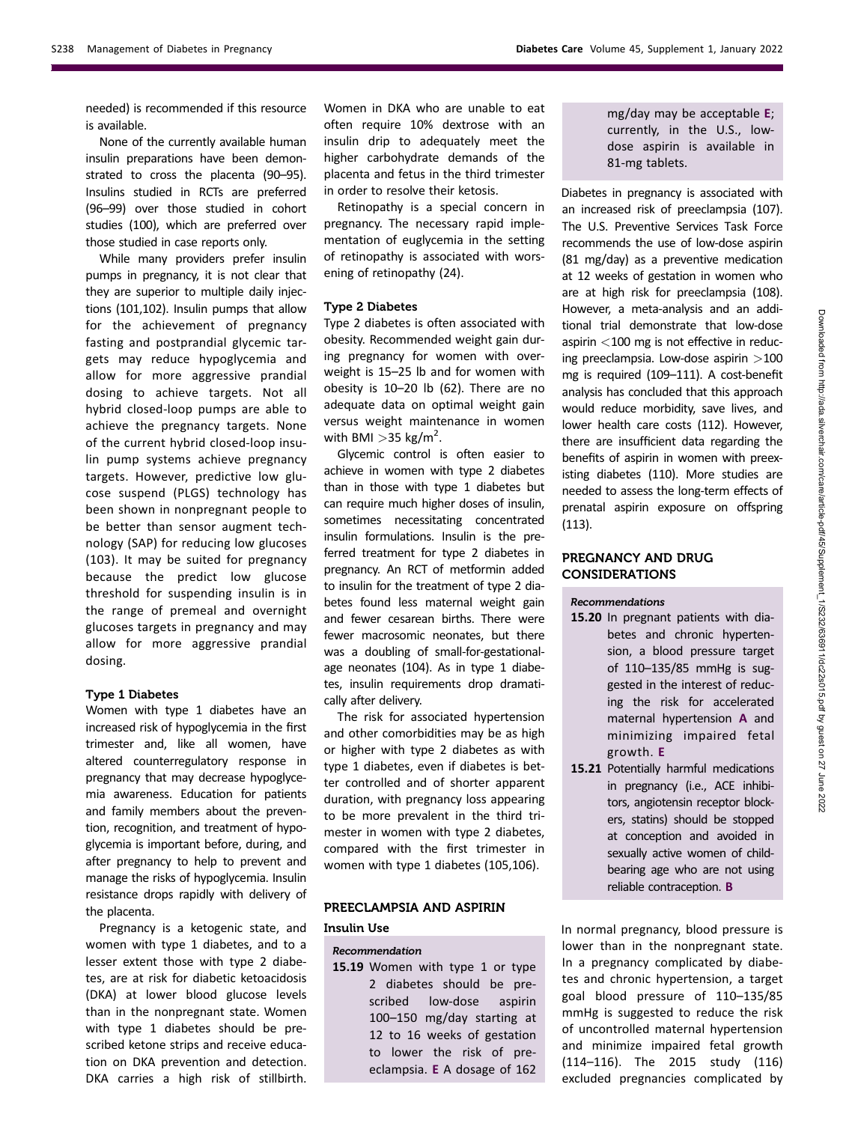needed) is recommended if this resource is available.

None of the currently available human insulin preparations have been demonstrated to cross the placenta (90–95). Insulins studied in RCTs are preferred (96–99) over those studied in cohort studies (100), which are preferred over those studied in case reports only.

While many providers prefer insulin pumps in pregnancy, it is not clear that they are superior to multiple daily injections (101,102). Insulin pumps that allow for the achievement of pregnancy fasting and postprandial glycemic targets may reduce hypoglycemia and allow for more aggressive prandial dosing to achieve targets. Not all hybrid closed-loop pumps are able to achieve the pregnancy targets. None of the current hybrid closed-loop insulin pump systems achieve pregnancy targets. However, predictive low glucose suspend (PLGS) technology has been shown in nonpregnant people to be better than sensor augment technology (SAP) for reducing low glucoses (103). It may be suited for pregnancy because the predict low glucose threshold for suspending insulin is in the range of premeal and overnight glucoses targets in pregnancy and may allow for more aggressive prandial dosing.

#### Type 1 Diabetes

Women with type 1 diabetes have an increased risk of hypoglycemia in the first trimester and, like all women, have altered counterregulatory response in pregnancy that may decrease hypoglycemia awareness. Education for patients and family members about the prevention, recognition, and treatment of hypoglycemia is important before, during, and after pregnancy to help to prevent and manage the risks of hypoglycemia. Insulin resistance drops rapidly with delivery of the placenta.

Pregnancy is a ketogenic state, and women with type 1 diabetes, and to a lesser extent those with type 2 diabetes, are at risk for diabetic ketoacidosis (DKA) at lower blood glucose levels than in the nonpregnant state. Women with type 1 diabetes should be prescribed ketone strips and receive education on DKA prevention and detection. DKA carries a high risk of stillbirth.

Women in DKA who are unable to eat often require 10% dextrose with an insulin drip to adequately meet the higher carbohydrate demands of the placenta and fetus in the third trimester in order to resolve their ketosis.

Retinopathy is a special concern in pregnancy. The necessary rapid implementation of euglycemia in the setting of retinopathy is associated with worsening of retinopathy (24).

#### Type 2 Diabetes

Type 2 diabetes is often associated with obesity. Recommended weight gain during pregnancy for women with overweight is 15–25 lb and for women with obesity is 10–20 lb (62). There are no adequate data on optimal weight gain versus weight maintenance in women with BMI  $>$ 35 kg/m<sup>2</sup>.

Glycemic control is often easier to achieve in women with type 2 diabetes than in those with type 1 diabetes but can require much higher doses of insulin, sometimes necessitating concentrated insulin formulations. Insulin is the preferred treatment for type 2 diabetes in pregnancy. An RCT of metformin added to insulin for the treatment of type 2 diabetes found less maternal weight gain and fewer cesarean births. There were fewer macrosomic neonates, but there was a doubling of small-for-gestationalage neonates (104). As in type 1 diabetes, insulin requirements drop dramatically after delivery.

The risk for associated hypertension and other comorbidities may be as high or higher with type 2 diabetes as with type 1 diabetes, even if diabetes is better controlled and of shorter apparent duration, with pregnancy loss appearing to be more prevalent in the third trimester in women with type 2 diabetes, compared with the first trimester in women with type 1 diabetes (105,106).

# PREECLAMPSIA AND ASPIRIN

# Insulin Use

#### Recommendation

15.19 Women with type 1 or type 2 diabetes should be prescribed low-dose aspirin 100–150 mg/day starting at 12 to 16 weeks of gestation to lower the risk of preeclampsia. E A dosage of 162 mg/day may be acceptable E; currently, in the U.S., lowdose aspirin is available in 81-mg tablets.

Diabetes in pregnancy is associated with an increased risk of preeclampsia (107). The U.S. Preventive Services Task Force recommends the use of low-dose aspirin (81 mg/day) as a preventive medication at 12 weeks of gestation in women who are at high risk for preeclampsia (108). However, a meta-analysis and an additional trial demonstrate that low-dose aspirin  $<$ 100 mg is not effective in reducing preeclampsia. Low-dose aspirin >100 mg is required (109–111). A cost-benefit analysis has concluded that this approach would reduce morbidity, save lives, and lower health care costs (112). However, there are insufficient data regarding the benefits of aspirin in women with preexisting diabetes (110). More studies are needed to assess the long-term effects of prenatal aspirin exposure on offspring (113).

# PREGNANCY AND DRUG CONSIDERATIONS

#### Recommendations

- 15.20 In pregnant patients with diabetes and chronic hypertension, a blood pressure target of 110–135/85 mmHg is suggested in the interest of reducing the risk for accelerated maternal hypertension A and minimizing impaired fetal growth. E
- 15.21 Potentially harmful medications in pregnancy (i.e., ACE inhibitors, angiotensin receptor blockers, statins) should be stopped at conception and avoided in sexually active women of childbearing age who are not using reliable contraception. B

In normal pregnancy, blood pressure is lower than in the nonpregnant state. In a pregnancy complicated by diabetes and chronic hypertension, a target goal blood pressure of 110–135/85 mmHg is suggested to reduce the risk of uncontrolled maternal hypertension and minimize impaired fetal growth (114–116). The 2015 study (116) excluded pregnancies complicated by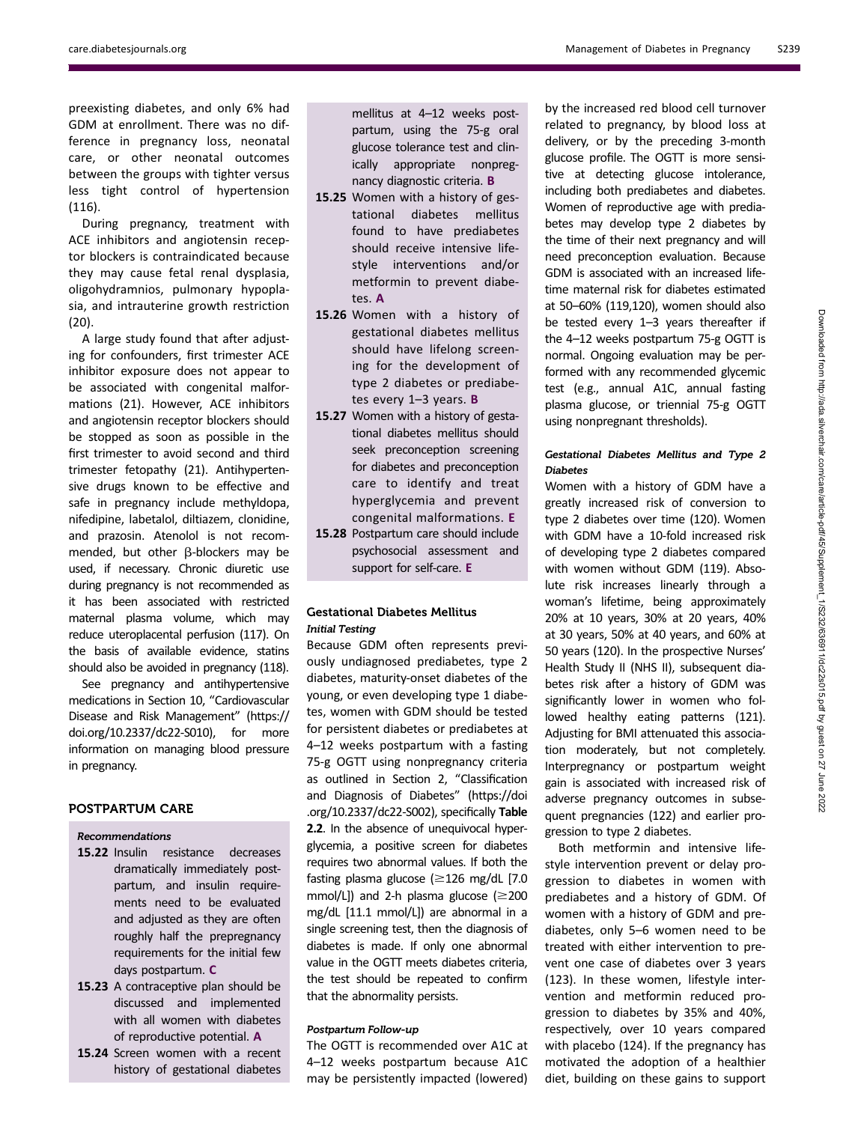preexisting diabetes, and only 6% had GDM at enrollment. There was no difference in pregnancy loss, neonatal care, or other neonatal outcomes between the groups with tighter versus less tight control of hypertension (116).

During pregnancy, treatment with ACE inhibitors and angiotensin receptor blockers is contraindicated because they may cause fetal renal dysplasia, oligohydramnios, pulmonary hypoplasia, and intrauterine growth restriction (20).

A large study found that after adjusting for confounders, first trimester ACE inhibitor exposure does not appear to be associated with congenital malformations (21). However, ACE inhibitors and angiotensin receptor blockers should be stopped as soon as possible in the first trimester to avoid second and third trimester fetopathy (21). Antihypertensive drugs known to be effective and safe in pregnancy include methyldopa, nifedipine, labetalol, diltiazem, clonidine, and prazosin. Atenolol is not recommended, but other  $\beta$ -blockers may be used, if necessary. Chronic diuretic use during pregnancy is not recommended as it has been associated with restricted maternal plasma volume, which may reduce uteroplacental perfusion (117). On the basis of available evidence, statins should also be avoided in pregnancy (118).

See pregnancy and antihypertensive medications in Section 10, "Cardiovascular Disease and Risk Management" ([https://](https://doi.org/10.2337/dc22-S010) [doi.org/10.2337/dc22-S010\)](https://doi.org/10.2337/dc22-S010), for more information on managing blood pressure in pregnancy.

# POSTPARTUM CARE

#### Recommendations

- 15.22 Insulin resistance decreases dramatically immediately postpartum, and insulin requirements need to be evaluated and adjusted as they are often roughly half the prepregnancy requirements for the initial few days postpartum. C
- 15.23 A contraceptive plan should be discussed and implemented with all women with diabetes of reproductive potential. A
- 15.24 Screen women with a recent history of gestational diabetes

mellitus at 4–12 weeks postpartum, using the 75-g oral glucose tolerance test and clinically appropriate nonpregnancy diagnostic criteria. B

- 15.25 Women with a history of gestational diabetes mellitus found to have prediabetes should receive intensive lifestyle interventions and/or metformin to prevent diabetes. A
- 15.26 Women with a history of gestational diabetes mellitus should have lifelong screening for the development of type 2 diabetes or prediabetes every 1–3 years. B
- 15.27 Women with a history of gestational diabetes mellitus should seek preconception screening for diabetes and preconception care to identify and treat hyperglycemia and prevent congenital malformations. E
- 15.28 Postpartum care should include psychosocial assessment and support for self-care. E

# Gestational Diabetes Mellitus Initial Testing

Because GDM often represents previously undiagnosed prediabetes, type 2 diabetes, maturity-onset diabetes of the young, or even developing type 1 diabetes, women with GDM should be tested for persistent diabetes or prediabetes at 4–12 weeks postpartum with a fasting 75-g OGTT using nonpregnancy criteria as outlined in Section 2, "Classification and Diagnosis of Diabetes" [\(https://doi](https://doi.org/10.2337/dc22-S002) [.org/10.2337/dc22-S002](https://doi.org/10.2337/dc22-S002)), specifically Table 2.2. In the absence of unequivocal hyperglycemia, a positive screen for diabetes requires two abnormal values. If both the fasting plasma glucose ( $\geq$ 126 mg/dL [7.0 mmol/L]) and 2-h plasma glucose ( $\geq$ 200 mg/dL [11.1 mmol/L]) are abnormal in a single screening test, then the diagnosis of diabetes is made. If only one abnormal value in the OGTT meets diabetes criteria, the test should be repeated to confirm that the abnormality persists.

# Postpartum Follow-up

The OGTT is recommended over A1C at 4–12 weeks postpartum because A1C may be persistently impacted (lowered)

by the increased red blood cell turnover related to pregnancy, by blood loss at delivery, or by the preceding 3-month glucose profile. The OGTT is more sensitive at detecting glucose intolerance, including both prediabetes and diabetes. Women of reproductive age with prediabetes may develop type 2 diabetes by the time of their next pregnancy and will need preconception evaluation. Because GDM is associated with an increased lifetime maternal risk for diabetes estimated at 50–60% (119,120), women should also be tested every 1–3 years thereafter if the 4–12 weeks postpartum 75-g OGTT is normal. Ongoing evaluation may be performed with any recommended glycemic test (e.g., annual A1C, annual fasting plasma glucose, or triennial 75-g OGTT using nonpregnant thresholds).

# Gestational Diabetes Mellitus and Type 2 Diabetes

Women with a history of GDM have a greatly increased risk of conversion to type 2 diabetes over time (120). Women with GDM have a 10-fold increased risk of developing type 2 diabetes compared with women without GDM (119). Absolute risk increases linearly through a woman's lifetime, being approximately 20% at 10 years, 30% at 20 years, 40% at 30 years, 50% at 40 years, and 60% at 50 years (120). In the prospective Nurses' Health Study II (NHS II), subsequent diabetes risk after a history of GDM was significantly lower in women who followed healthy eating patterns (121). Adjusting for BMI attenuated this association moderately, but not completely. Interpregnancy or postpartum weight gain is associated with increased risk of adverse pregnancy outcomes in subsequent pregnancies (122) and earlier progression to type 2 diabetes.

Both metformin and intensive lifestyle intervention prevent or delay progression to diabetes in women with prediabetes and a history of GDM. Of women with a history of GDM and prediabetes, only 5–6 women need to be treated with either intervention to prevent one case of diabetes over 3 years (123). In these women, lifestyle intervention and metformin reduced progression to diabetes by 35% and 40%, respectively, over 10 years compared with placebo (124). If the pregnancy has motivated the adoption of a healthier diet, building on these gains to support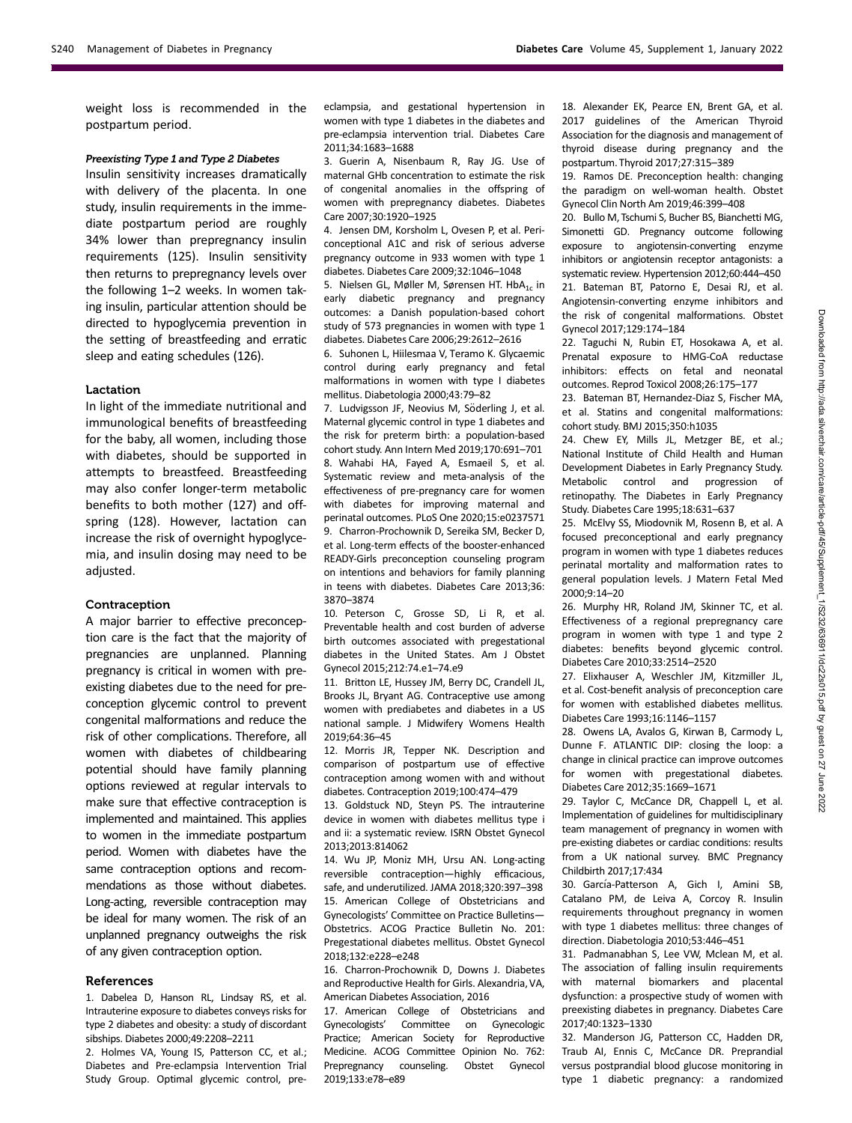weight loss is recommended in the postpartum period.

#### Preexisting Type 1 and Type 2 Diabetes

Insulin sensitivity increases dramatically with delivery of the placenta. In one study, insulin requirements in the immediate postpartum period are roughly 34% lower than prepregnancy insulin requirements (125). Insulin sensitivity then returns to prepregnancy levels over the following 1–2 weeks. In women taking insulin, particular attention should be directed to hypoglycemia prevention in the setting of breastfeeding and erratic sleep and eating schedules (126).

#### Lactation

In light of the immediate nutritional and immunological benefits of breastfeeding for the baby, all women, including those with diabetes, should be supported in attempts to breastfeed. Breastfeeding may also confer longer-term metabolic benefits to both mother (127) and offspring (128). However, lactation can increase the risk of overnight hypoglycemia, and insulin dosing may need to be adjusted.

#### Contraception

A major barrier to effective preconception care is the fact that the majority of pregnancies are unplanned. Planning pregnancy is critical in women with preexisting diabetes due to the need for preconception glycemic control to prevent congenital malformations and reduce the risk of other complications. Therefore, all women with diabetes of childbearing potential should have family planning options reviewed at regular intervals to make sure that effective contraception is implemented and maintained. This applies to women in the immediate postpartum period. Women with diabetes have the same contraception options and recommendations as those without diabetes. Long-acting, reversible contraception may be ideal for many women. The risk of an unplanned pregnancy outweighs the risk of any given contraception option.

#### References

1. Dabelea D, Hanson RL, Lindsay RS, et al. Intrauterine exposure to diabetes conveys risks for type 2 diabetes and obesity: a study of discordant sibships. Diabetes 2000;49:2208–2211

2. Holmes VA, Young IS, Patterson CC, et al.; Diabetes and Pre-eclampsia Intervention Trial Study Group. Optimal glycemic control, preeclampsia, and gestational hypertension in women with type 1 diabetes in the diabetes and pre-eclampsia intervention trial. Diabetes Care 2011;34:1683–1688

3. Guerin A, Nisenbaum R, Ray JG. Use of maternal GHb concentration to estimate the risk of congenital anomalies in the offspring of women with prepregnancy diabetes. Diabetes Care 2007;30:1920–1925

4. Jensen DM, Korsholm L, Ovesen P, et al. Periconceptional A1C and risk of serious adverse pregnancy outcome in 933 women with type 1 diabetes. Diabetes Care 2009;32:1046–1048

5. Nielsen GL, Møller M, Sørensen HT. HbA<sub>1c</sub> in early diabetic pregnancy and pregnancy outcomes: a Danish population-based cohort study of 573 pregnancies in women with type 1 diabetes. Diabetes Care 2006;29:2612–2616

6. Suhonen L, Hiilesmaa V, Teramo K. Glycaemic control during early pregnancy and fetal malformations in women with type I diabetes mellitus. Diabetologia 2000;43:79–82

7. Ludvigsson JF, Neovius M, Söderling J, et al. Maternal glycemic control in type 1 diabetes and the risk for preterm birth: a population-based cohort study. Ann Intern Med 2019;170:691–701 8. Wahabi HA, Fayed A, Esmaeil S, et al. Systematic review and meta-analysis of the effectiveness of pre-pregnancy care for women with diabetes for improving maternal and perinatal outcomes. PLoS One 2020;15:e0237571 9. Charron-Prochownik D, Sereika SM, Becker D, et al. Long-term effects of the booster-enhanced READY-Girls preconception counseling program on intentions and behaviors for family planning in teens with diabetes. Diabetes Care 2013;36: 3870–3874

10. Peterson C, Grosse SD, Li R, et al. Preventable health and cost burden of adverse birth outcomes associated with pregestational diabetes in the United States. Am J Obstet Gynecol 2015;212:74.e1–74.e9

11. Britton LE, Hussey JM, Berry DC, Crandell JL, Brooks JL, Bryant AG. Contraceptive use among women with prediabetes and diabetes in a US national sample. J Midwifery Womens Health 2019;64:36–45

12. Morris JR, Tepper NK. Description and comparison of postpartum use of effective contraception among women with and without diabetes. Contraception 2019;100:474–479

13. Goldstuck ND, Steyn PS. The intrauterine device in women with diabetes mellitus type i and ii: a systematic review. ISRN Obstet Gynecol 2013;2013:814062

14. Wu JP, Moniz MH, Ursu AN. Long-acting reversible contraception—highly efficacious, safe, and underutilized. JAMA 2018;320:397–398 15. American College of Obstetricians and Gynecologists' Committee on Practice Bulletins— Obstetrics. ACOG Practice Bulletin No. 201: Pregestational diabetes mellitus. Obstet Gynecol 2018;132:e228–e248

16. Charron-Prochownik D, Downs J. Diabetes and Reproductive Health for Girls. Alexandria, VA, American Diabetes Association, 2016

17. American College of Obstetricians and Gynecologists' Committee on Gynecologic Practice; American Society for Reproductive Medicine. ACOG Committee Opinion No. 762: Prepregnancy counseling. Obstet Gynecol 2019;133:e78–e89

18. Alexander EK, Pearce EN, Brent GA, et al. 2017 guidelines of the American Thyroid Association for the diagnosis and management of thyroid disease during pregnancy and the postpartum. Thyroid 2017;27:315–389

19. Ramos DE. Preconception health: changing the paradigm on well-woman health. Obstet Gynecol Clin North Am 2019;46:399–408

20. Bullo M, Tschumi S, Bucher BS, Bianchetti MG, Simonetti GD. Pregnancy outcome following exposure to angiotensin-converting enzyme inhibitors or angiotensin receptor antagonists: a systematic review. Hypertension 2012;60:444–450 21. Bateman BT, Patorno E, Desai RJ, et al. Angiotensin-converting enzyme inhibitors and the risk of congenital malformations. Obstet Gynecol 2017;129:174–184

22. Taguchi N, Rubin ET, Hosokawa A, et al. Prenatal exposure to HMG-CoA reductase inhibitors: effects on fetal and neonatal outcomes. Reprod Toxicol 2008;26:175–177

23. Bateman BT, Hernandez-Diaz S, Fischer MA, et al. Statins and congenital malformations: cohort study. BMJ 2015;350:h1035

24. Chew EY, Mills JL, Metzger BE, et al.; National Institute of Child Health and Human Development Diabetes in Early Pregnancy Study. Metabolic control and progression of retinopathy. The Diabetes in Early Pregnancy Study. Diabetes Care 1995;18:631–637

25. McElvy SS, Miodovnik M, Rosenn B, et al. A focused preconceptional and early pregnancy program in women with type 1 diabetes reduces perinatal mortality and malformation rates to general population levels. J Matern Fetal Med 2000;9:14–20

26. Murphy HR, Roland JM, Skinner TC, et al. Effectiveness of a regional prepregnancy care program in women with type 1 and type 2 diabetes: benefits beyond glycemic control. Diabetes Care 2010;33:2514–2520

27. Elixhauser A, Weschler JM, Kitzmiller JL, et al. Cost-benefit analysis of preconception care for women with established diabetes mellitus. Diabetes Care 1993;16:1146–1157

28. Owens LA, Avalos G, Kirwan B, Carmody L, Dunne F. ATLANTIC DIP: closing the loop: a change in clinical practice can improve outcomes for women with pregestational diabetes. Diabetes Care 2012;35:1669–1671

29. Taylor C, McCance DR, Chappell L, et al. Implementation of guidelines for multidisciplinary team management of pregnancy in women with pre-existing diabetes or cardiac conditions: results from a UK national survey. BMC Pregnancy Childbirth 2017;17:434

30. García-Patterson A, Gich I, Amini SB, Catalano PM, de Leiva A, Corcoy R. Insulin requirements throughout pregnancy in women with type 1 diabetes mellitus: three changes of direction. Diabetologia 2010;53:446–451

31. Padmanabhan S, Lee VW, Mclean M, et al. The association of falling insulin requirements with maternal biomarkers and placental dysfunction: a prospective study of women with preexisting diabetes in pregnancy. Diabetes Care 2017;40:1323–1330

32. Manderson JG, Patterson CC, Hadden DR, Traub AI, Ennis C, McCance DR. Preprandial versus postprandial blood glucose monitoring in type 1 diabetic pregnancy: a randomized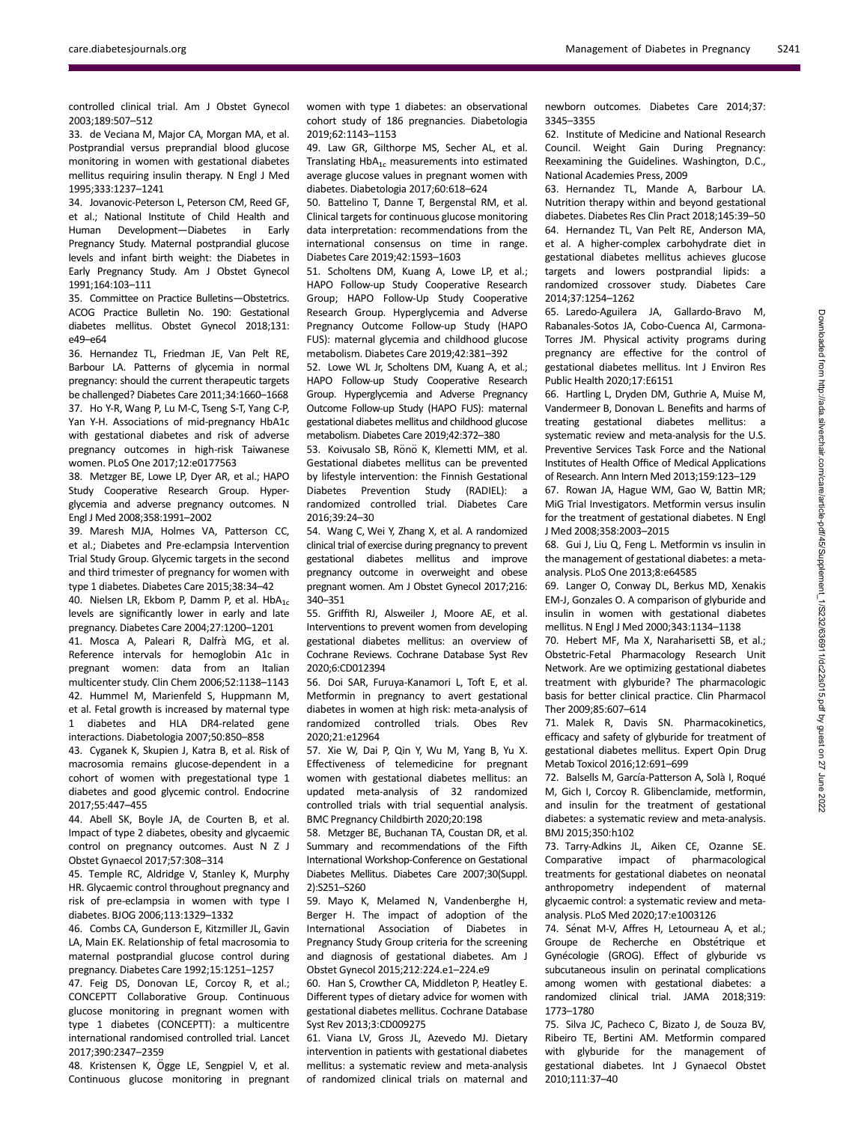controlled clinical trial. Am J Obstet Gynecol 2003;189:507–512

33. de Veciana M, Major CA, Morgan MA, et al. Postprandial versus preprandial blood glucose monitoring in women with gestational diabetes mellitus requiring insulin therapy. N Engl J Med 1995;333:1237–1241

34. Jovanovic-Peterson L, Peterson CM, Reed GF, et al.; National Institute of Child Health and Human Development—Diabetes in Early Pregnancy Study. Maternal postprandial glucose levels and infant birth weight: the Diabetes in Early Pregnancy Study. Am J Obstet Gynecol 1991;164:103–111

35. Committee on Practice Bulletins—Obstetrics. ACOG Practice Bulletin No. 190: Gestational diabetes mellitus. Obstet Gynecol 2018;131: e49–e64

36. Hernandez TL, Friedman JE, Van Pelt RE, Barbour LA. Patterns of glycemia in normal pregnancy: should the current therapeutic targets be challenged? Diabetes Care 2011;34:1660–1668 37. Ho Y-R, Wang P, Lu M-C, Tseng S-T, Yang C-P, Yan Y-H. Associations of mid-pregnancy HbA1c with gestational diabetes and risk of adverse pregnancy outcomes in high-risk Taiwanese women. PLoS One 2017;12:e0177563

38. Metzger BE, Lowe LP, Dyer AR, et al.; HAPO Study Cooperative Research Group. Hyperglycemia and adverse pregnancy outcomes. N Engl J Med 2008;358:1991–2002

39. Maresh MJA, Holmes VA, Patterson CC, et al.; Diabetes and Pre-eclampsia Intervention Trial Study Group. Glycemic targets in the second and third trimester of pregnancy for women with type 1 diabetes. Diabetes Care 2015;38:34–42

40. Nielsen LR, Ekbom P, Damm P, et al.  $HbA_{1c}$ levels are significantly lower in early and late pregnancy. Diabetes Care 2004;27:1200–1201

41. Mosca A, Paleari R, Dalfrà MG, et al. Reference intervals for hemoglobin A1c in pregnant women: data from an Italian multicenter study. Clin Chem 2006;52:1138–1143 42. Hummel M, Marienfeld S, Huppmann M, et al. Fetal growth is increased by maternal type 1 diabetes and HLA DR4-related gene

interactions. Diabetologia 2007;50:850–858 43. Cyganek K, Skupien J, Katra B, et al. Risk of macrosomia remains glucose-dependent in a cohort of women with pregestational type 1 diabetes and good glycemic control. Endocrine 2017;55:447–455

44. Abell SK, Boyle JA, de Courten B, et al. Impact of type 2 diabetes, obesity and glycaemic control on pregnancy outcomes. Aust N Z J Obstet Gynaecol 2017;57:308–314

45. Temple RC, Aldridge V, Stanley K, Murphy HR. Glycaemic control throughout pregnancy and risk of pre-eclampsia in women with type I diabetes. BJOG 2006;113:1329–1332

46. Combs CA, Gunderson E, Kitzmiller JL, Gavin LA, Main EK. Relationship of fetal macrosomia to maternal postprandial glucose control during pregnancy. Diabetes Care 1992;15:1251–1257

47. Feig DS, Donovan LE, Corcoy R, et al.; CONCEPTT Collaborative Group. Continuous glucose monitoring in pregnant women with type 1 diabetes (CONCEPTT): a multicentre international randomised controlled trial. Lancet 2017;390:2347–2359

48. Kristensen K, Ögge LE, Sengpiel V, et al. Continuous glucose monitoring in pregnant women with type 1 diabetes: an observational cohort study of 186 pregnancies. Diabetologia 2019;62:1143–1153

49. Law GR, Gilthorpe MS, Secher AL, et al. Translating  $HbA_{1c}$  measurements into estimated average glucose values in pregnant women with diabetes. Diabetologia 2017;60:618–624

50. Battelino T, Danne T, Bergenstal RM, et al. Clinical targets for continuous glucose monitoring data interpretation: recommendations from the international consensus on time in range. Diabetes Care 2019;42:1593–1603

51. Scholtens DM, Kuang A, Lowe LP, et al.; HAPO Follow-up Study Cooperative Research Group; HAPO Follow-Up Study Cooperative Research Group. Hyperglycemia and Adverse Pregnancy Outcome Follow-up Study (HAPO FUS): maternal glycemia and childhood glucose metabolism. Diabetes Care 2019;42:381–392

52. Lowe WL Jr, Scholtens DM, Kuang A, et al.; HAPO Follow-up Study Cooperative Research Group. Hyperglycemia and Adverse Pregnancy Outcome Follow-up Study (HAPO FUS): maternal gestational diabetes mellitus and childhood glucose metabolism. Diabetes Care 2019;42:372–380

53. Koivusalo SB, Rönö K, Klemetti MM, et al. Gestational diabetes mellitus can be prevented by lifestyle intervention: the Finnish Gestational Diabetes Prevention Study (RADIEL): a randomized controlled trial. Diabetes Care 2016;39:24–30

54. Wang C, Wei Y, Zhang X, et al. A randomized clinical trial of exercise during pregnancy to prevent gestational diabetes mellitus and improve pregnancy outcome in overweight and obese pregnant women. Am J Obstet Gynecol 2017;216: 340–351

55. Griffith RJ, Alsweiler J, Moore AE, et al. Interventions to prevent women from developing gestational diabetes mellitus: an overview of Cochrane Reviews. Cochrane Database Syst Rev 2020;6:CD012394

56. Doi SAR, Furuya-Kanamori L, Toft E, et al. Metformin in pregnancy to avert gestational diabetes in women at high risk: meta-analysis of randomized controlled trials. Obes Rev 2020;21:e12964

57. Xie W, Dai P, Qin Y, Wu M, Yang B, Yu X. Effectiveness of telemedicine for pregnant women with gestational diabetes mellitus: an updated meta-analysis of 32 randomized controlled trials with trial sequential analysis. BMC Pregnancy Childbirth 2020;20:198

58. Metzger BE, Buchanan TA, Coustan DR, et al. Summary and recommendations of the Fifth International Workshop-Conference on Gestational Diabetes Mellitus. Diabetes Care 2007;30(Suppl. 2):S251–S260

59. Mayo K, Melamed N, Vandenberghe H, Berger H. The impact of adoption of the International Association of Diabetes in Pregnancy Study Group criteria for the screening and diagnosis of gestational diabetes. Am J Obstet Gynecol 2015;212:224.e1–224.e9

60. Han S, Crowther CA, Middleton P, Heatley E. Different types of dietary advice for women with gestational diabetes mellitus. Cochrane Database Syst Rev 2013;3:CD009275

61. Viana LV, Gross JL, Azevedo MJ. Dietary intervention in patients with gestational diabetes mellitus: a systematic review and meta-analysis of randomized clinical trials on maternal and

newborn outcomes. Diabetes Care 2014;37: 3345–3355

62. Institute of Medicine and National Research Council. Weight Gain During Pregnancy: Reexamining the Guidelines. Washington, D.C., National Academies Press, 2009

63. Hernandez TL, Mande A, Barbour LA. Nutrition therapy within and beyond gestational diabetes. Diabetes Res Clin Pract 2018;145:39–50 64. Hernandez TL, Van Pelt RE, Anderson MA, et al. A higher-complex carbohydrate diet in gestational diabetes mellitus achieves glucose targets and lowers postprandial lipids: a randomized crossover study. Diabetes Care 2014;37:1254–1262

65. Laredo-Aguilera JA, Gallardo-Bravo M, Rabanales-Sotos JA, Cobo-Cuenca AI, Carmona-Torres JM. Physical activity programs during pregnancy are effective for the control of gestational diabetes mellitus. Int J Environ Res Public Health 2020;17:E6151

66. Hartling L, Dryden DM, Guthrie A, Muise M, Vandermeer B, Donovan L. Benefits and harms of treating gestational diabetes mellitus: a systematic review and meta-analysis for the U.S. Preventive Services Task Force and the National Institutes of Health Office of Medical Applications of Research. Ann Intern Med 2013;159:123–129

67. Rowan JA, Hague WM, Gao W, Battin MR; MiG Trial Investigators. Metformin versus insulin for the treatment of gestational diabetes. N Engl J Med 2008;358:2003–2015

68. Gui J, Liu Q, Feng L. Metformin vs insulin in the management of gestational diabetes: a metaanalysis. PLoS One 2013;8:e64585

69. Langer O, Conway DL, Berkus MD, Xenakis EM-J, Gonzales O. A comparison of glyburide and insulin in women with gestational diabetes mellitus. N Engl J Med 2000;343:1134–1138

70. Hebert MF, Ma X, Naraharisetti SB, et al.; Obstetric-Fetal Pharmacology Research Unit Network. Are we optimizing gestational diabetes treatment with glyburide? The pharmacologic basis for better clinical practice. Clin Pharmacol Ther 2009;85:607–614

71. Malek R, Davis SN. Pharmacokinetics, efficacy and safety of glyburide for treatment of gestational diabetes mellitus. Expert Opin Drug Metab Toxicol 2016;12:691–699

72. Balsells M, García-Patterson A, Solà I, Roqué M, Gich I, Corcoy R. Glibenclamide, metformin, and insulin for the treatment of gestational diabetes: a systematic review and meta-analysis. BMJ 2015;350:h102

73. Tarry-Adkins JL, Aiken CE, Ozanne SE. Comparative impact of pharmacological treatments for gestational diabetes on neonatal anthropometry independent of maternal glycaemic control: a systematic review and metaanalysis. PLoS Med 2020;17:e1003126

74. Sénat M-V, Affres H, Letourneau A, et al.; Groupe de Recherche en Obstétrique et Gynécologie (GROG). Effect of glyburide vs subcutaneous insulin on perinatal complications among women with gestational diabetes: a randomized clinical trial. JAMA 2018;319: 1773–1780

75. Silva JC, Pacheco C, Bizato J, de Souza BV, Ribeiro TE, Bertini AM. Metformin compared with glyburide for the management of gestational diabetes. Int J Gynaecol Obstet 2010;111:37–40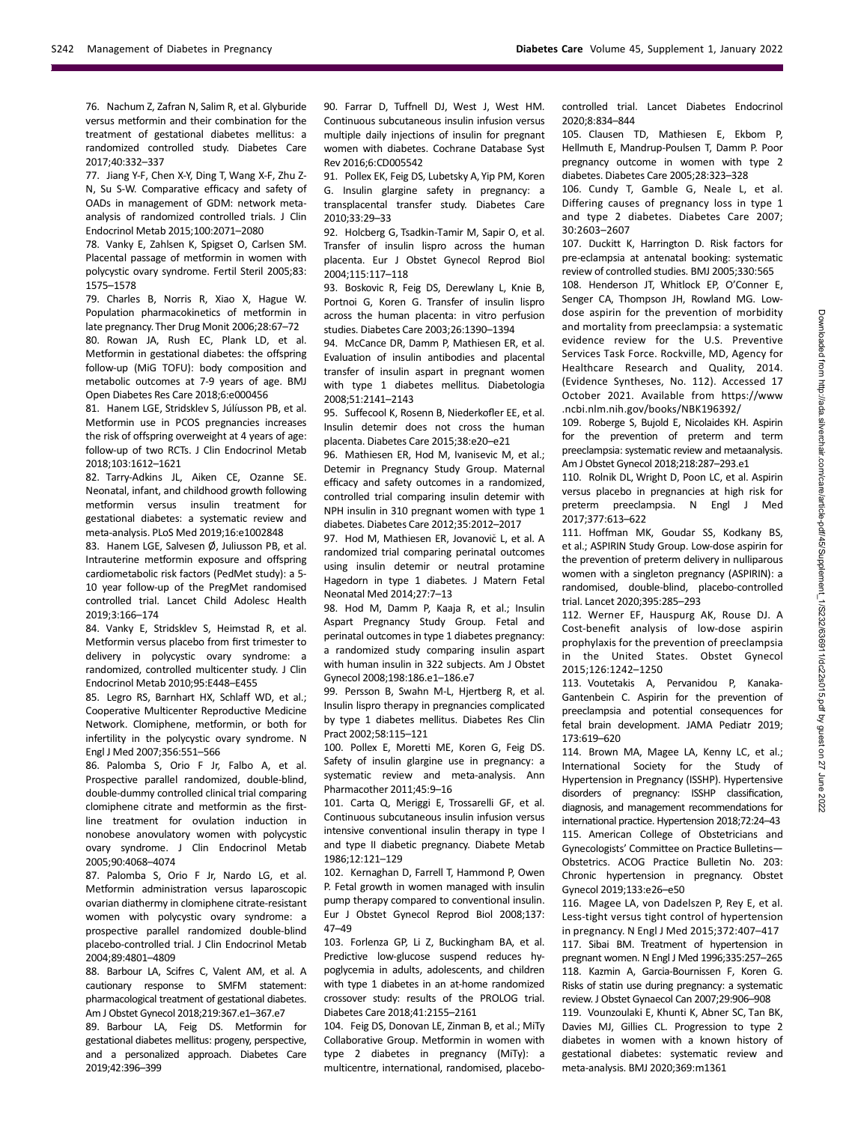76. Nachum Z, Zafran N, Salim R, et al. Glyburide versus metformin and their combination for the treatment of gestational diabetes mellitus: a randomized controlled study. Diabetes Care 2017;40:332–337

77. Jiang Y-F, Chen X-Y, Ding T, Wang X-F, Zhu Z-N, Su S-W. Comparative efficacy and safety of OADs in management of GDM: network metaanalysis of randomized controlled trials. J Clin Endocrinol Metab 2015;100:2071–2080

78. Vanky E, Zahlsen K, Spigset O, Carlsen SM. Placental passage of metformin in women with polycystic ovary syndrome. Fertil Steril 2005;83: 1575–1578

79. Charles B, Norris R, Xiao X, Hague W. Population pharmacokinetics of metformin in late pregnancy. Ther Drug Monit 2006;28:67–72 80. Rowan JA, Rush EC, Plank LD, et al. Metformin in gestational diabetes: the offspring follow-up (MiG TOFU): body composition and metabolic outcomes at 7-9 years of age. BMJ Open Diabetes Res Care 2018;6:e000456

81. Hanem LGE, Stridsklev S, Júlíusson PB, et al. Metformin use in PCOS pregnancies increases the risk of offspring overweight at 4 years of age: follow-up of two RCTs. J Clin Endocrinol Metab 2018;103:1612–1621

82. Tarry-Adkins JL, Aiken CE, Ozanne SE. Neonatal, infant, and childhood growth following metformin versus insulin treatment for gestational diabetes: a systematic review and meta-analysis. PLoS Med 2019;16:e1002848

83. Hanem LGE, Salvesen Ø, Juliusson PB, et al. Intrauterine metformin exposure and offspring cardiometabolic risk factors (PedMet study): a 5- 10 year follow-up of the PregMet randomised controlled trial. Lancet Child Adolesc Health 2019;3:166–174

84. Vanky E, Stridsklev S, Heimstad R, et al. Metformin versus placebo from first trimester to delivery in polycystic ovary syndrome: a randomized, controlled multicenter study. J Clin Endocrinol Metab 2010;95:E448–E455

85. Legro RS, Barnhart HX, Schlaff WD, et al.; Cooperative Multicenter Reproductive Medicine Network. Clomiphene, metformin, or both for infertility in the polycystic ovary syndrome. N Engl J Med 2007;356:551–566

86. Palomba S, Orio F Jr, Falbo A, et al. Prospective parallel randomized, double-blind, double-dummy controlled clinical trial comparing clomiphene citrate and metformin as the firstline treatment for ovulation induction in nonobese anovulatory women with polycystic ovary syndrome. J Clin Endocrinol Metab 2005;90:4068–4074

87. Palomba S, Orio F Jr, Nardo LG, et al. Metformin administration versus laparoscopic ovarian diathermy in clomiphene citrate-resistant women with polycystic ovary syndrome: a prospective parallel randomized double-blind placebo-controlled trial. J Clin Endocrinol Metab 2004;89:4801–4809

88. Barbour LA, Scifres C, Valent AM, et al. A cautionary response to SMFM statement: pharmacological treatment of gestational diabetes. Am J Obstet Gynecol 2018;219:367.e1–367.e7

89. Barbour LA, Feig DS. Metformin for gestational diabetes mellitus: progeny, perspective, and a personalized approach. Diabetes Care 2019;42:396–399

90. Farrar D, Tuffnell DJ, West J, West HM. Continuous subcutaneous insulin infusion versus multiple daily injections of insulin for pregnant women with diabetes. Cochrane Database Syst Rev 2016;6:CD005542

91. Pollex EK, Feig DS, Lubetsky A, Yip PM, Koren G. Insulin glargine safety in pregnancy: a transplacental transfer study. Diabetes Care 2010;33:29–33

92. Holcberg G, Tsadkin-Tamir M, Sapir O, et al. Transfer of insulin lispro across the human placenta. Eur J Obstet Gynecol Reprod Biol 2004;115:117–118

93. Boskovic R, Feig DS, Derewlany L, Knie B, Portnoi G, Koren G. Transfer of insulin lispro across the human placenta: in vitro perfusion studies. Diabetes Care 2003;26:1390–1394

94. McCance DR, Damm P, Mathiesen ER, et al. Evaluation of insulin antibodies and placental transfer of insulin aspart in pregnant women with type 1 diabetes mellitus. Diabetologia 2008;51:2141–2143

95. Suffecool K, Rosenn B, Niederkofler EE, et al. Insulin detemir does not cross the human placenta. Diabetes Care 2015;38:e20–e21

96. Mathiesen ER, Hod M, Ivanisevic M, et al.; Detemir in Pregnancy Study Group. Maternal efficacy and safety outcomes in a randomized, controlled trial comparing insulin detemir with NPH insulin in 310 pregnant women with type 1 diabetes. Diabetes Care 2012;35:2012–2017

97. Hod M, Mathiesen ER, Jovanovič L, et al. A randomized trial comparing perinatal outcomes using insulin detemir or neutral protamine Hagedorn in type 1 diabetes. J Matern Fetal Neonatal Med 2014;27:7–13

98. Hod M, Damm P, Kaaja R, et al.; Insulin Aspart Pregnancy Study Group. Fetal and perinatal outcomes in type 1 diabetes pregnancy: a randomized study comparing insulin aspart with human insulin in 322 subjects. Am J Obstet Gynecol 2008;198:186.e1–186.e7

99. Persson B, Swahn M-L, Hjertberg R, et al. Insulin lispro therapy in pregnancies complicated by type 1 diabetes mellitus. Diabetes Res Clin Pract 2002;58:115–121

100. Pollex E, Moretti ME, Koren G, Feig DS. Safety of insulin glargine use in pregnancy: a systematic review and meta-analysis. Ann Pharmacother 2011;45:9–16

101. Carta Q, Meriggi E, Trossarelli GF, et al. Continuous subcutaneous insulin infusion versus intensive conventional insulin therapy in type I and type II diabetic pregnancy. Diabete Metab 1986;12:121–129

102. Kernaghan D, Farrell T, Hammond P, Owen P. Fetal growth in women managed with insulin pump therapy compared to conventional insulin. Eur J Obstet Gynecol Reprod Biol 2008;137: 47–49

103. Forlenza GP, Li Z, Buckingham BA, et al. Predictive low-glucose suspend reduces hypoglycemia in adults, adolescents, and children with type 1 diabetes in an at-home randomized crossover study: results of the PROLOG trial. Diabetes Care 2018;41:2155–2161

104. Feig DS, Donovan LE, Zinman B, et al.; MiTy Collaborative Group. Metformin in women with type 2 diabetes in pregnancy (MiTy): a multicentre, international, randomised, placebocontrolled trial. Lancet Diabetes Endocrinol 2020;8:834–844

105. Clausen TD, Mathiesen E, Ekbom P, Hellmuth E, Mandrup-Poulsen T, Damm P. Poor pregnancy outcome in women with type 2 diabetes. Diabetes Care 2005;28:323–328

106. Cundy T, Gamble G, Neale L, et al. Differing causes of pregnancy loss in type 1 and type 2 diabetes. Diabetes Care 2007; 30:2603–2607

107. Duckitt K, Harrington D. Risk factors for pre-eclampsia at antenatal booking: systematic review of controlled studies. BMJ 2005;330:565

108. Henderson JT, Whitlock EP, O'Conner E, Senger CA, Thompson JH, Rowland MG. Lowdose aspirin for the prevention of morbidity and mortality from preeclampsia: a systematic evidence review for the U.S. Preventive Services Task Force. Rockville, MD, Agency for Healthcare Research and Quality, 2014. (Evidence Syntheses, No. 112). Accessed 17 October 2021. Available from [https://www](https://www.ncbi.nlm.nih.gov/books/NBK196392/) [.ncbi.nlm.nih.gov/books/NBK196392/](https://www.ncbi.nlm.nih.gov/books/NBK196392/)

109. Roberge S, Bujold E, Nicolaides KH. Aspirin for the prevention of preterm and term preeclampsia: systematic review and metaanalysis. Am J Obstet Gynecol 2018;218:287–293.e1

110. Rolnik DL, Wright D, Poon LC, et al. Aspirin versus placebo in pregnancies at high risk for preterm preeclampsia. N Engl J Med 2017;377:613–622

111. Hoffman MK, Goudar SS, Kodkany BS, et al.; ASPIRIN Study Group. Low-dose aspirin for the prevention of preterm delivery in nulliparous women with a singleton pregnancy (ASPIRIN): a randomised, double-blind, placebo-controlled trial. Lancet 2020;395:285–293

112. Werner EF, Hauspurg AK, Rouse DJ. A Cost-benefit analysis of low-dose aspirin prophylaxis for the prevention of preeclampsia in the United States. Obstet Gynecol 2015;126:1242–1250

113. Voutetakis A, Pervanidou P, Kanaka-Gantenbein C. Aspirin for the prevention of preeclampsia and potential consequences for fetal brain development. JAMA Pediatr 2019; 173:619–620

114. Brown MA, Magee LA, Kenny LC, et al.; International Society for the Study of Hypertension in Pregnancy (ISSHP). Hypertensive disorders of pregnancy: ISSHP classification, diagnosis, and management recommendations for international practice. Hypertension 2018;72:24–43 115. American College of Obstetricians and Gynecologists' Committee on Practice Bulletins— Obstetrics. ACOG Practice Bulletin No. 203: Chronic hypertension in pregnancy. Obstet Gynecol 2019;133:e26–e50

116. Magee LA, von Dadelszen P, Rey E, et al. Less-tight versus tight control of hypertension in pregnancy. N Engl J Med 2015;372:407–417 117. Sibai BM. Treatment of hypertension in pregnant women. N Engl J Med 1996;335:257–265 118. Kazmin A, Garcia-Bournissen F, Koren G. Risks of statin use during pregnancy: a systematic review. J Obstet Gynaecol Can 2007;29:906–908

119. Vounzoulaki E, Khunti K, Abner SC, Tan BK, Davies MJ, Gillies CL. Progression to type 2 diabetes in women with a known history of gestational diabetes: systematic review and meta-analysis. BMJ 2020;369:m1361